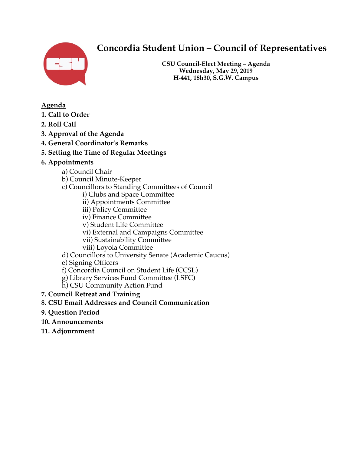

# **Concordia Student Union – Council of Representatives**

**CSU Council-Elect Meeting – Agenda Wednesday, May 29, 2019 H-441, 18h30, S.G.W. Campus**

## **Agenda**

- **1. Call to Order**
- **2. Roll Call**
- **3. Approval of the Agenda**
- **4. General Coordinator's Remarks**
- **5. Setting the Time of Regular Meetings**
- **6. Appointments**
	- a) Council Chair
	- b) Council Minute-Keeper
	- c) Councillors to Standing Committees of Council
		- i) Clubs and Space Committee
		- ii) Appointments Committee
		- iii) Policy Committee
		- iv) Finance Committee
		- v) Student Life Committee
		- vi) External and Campaigns Committee
		- vii) Sustainability Committee
		- viii) Loyola Committee
	- d) Councillors to University Senate (Academic Caucus)
	- e) Signing Officers
	- f) Concordia Council on Student Life (CCSL)
	- g) Library Services Fund Committee (LSFC)
	- h) CSU Community Action Fund
- **7. Council Retreat and Training**
- **8. CSU Email Addresses and Council Communication**
- **9. Question Period**
- **10. Announcements**
- **11. Adjournment**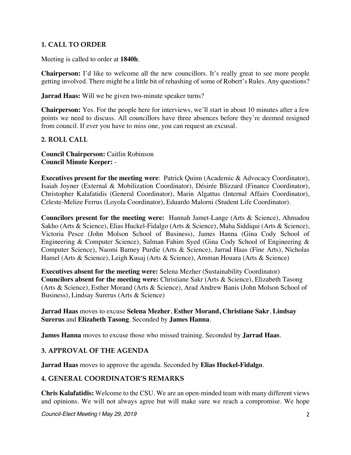## **1. CALL TO ORDER**

Meeting is called to order at **1840h**.

**Chairperson:** I'd like to welcome all the new councillors. It's really great to see more people getting involved. There might be a little bit of rehashing of some of Robert's Rules. Any questions?

**Jarrad Haas:** Will we be given two-minute speaker turns?

**Chairperson:** Yes. For the people here for interviews, we'll start in about 10 minutes after a few points we need to discuss. All councillors have three absences before they're deemed resigned from council. If ever you have to miss one, you can request an excusal.

#### **2. ROLL CALL**

**Council Chairperson:** Caitlin Robinson **Council Minute Keeper:** -

**Executives present for the meeting were**: Patrick Quinn (Academic & Advocacy Coordinator), Isaiah Joyner (External & Mobilization Coordinator), Désirée Blizzard (Finance Coordinator), Christopher Kalafatidis (General Coordinator), Marin Algattus (Internal Affairs Coordinator), Celeste-Melize Ferrus (Loyola Coordinator), Eduardo Malorni (Student Life Coordinator).

**Councilors present for the meeting were:** Hannah Jamet-Lange (Arts & Science), Ahmadou Sakho (Arts & Science), Elias Huckel-Fidalgo (Arts & Science), Maha Siddiqui (Arts & Science), Victoria Pesce (John Molson School of Business), James Hanna (Gina Cody School of Engineering & Computer Science), Salman Fahim Syed (Gina Cody School of Engineering & Computer Science), Naomi Barney Purdie (Arts & Science), Jarrad Haas (Fine Arts), Nicholas Hamel (Arts & Science), Leigh Kusaj (Arts & Science), Amman Houara (Arts & Science)

**Executives absent for the meeting were:** Selena Mezher (Sustainability Coordinator) **Councilors absent for the meeting were:** Christiane Sakr (Arts & Science), Elizabeth Tasong (Arts & Science), Esther Morand (Arts & Science), Arad Andrew Banis (John Molson School of Business), Lindsay Surerus (Arts & Science)

#### **Jarrad Haas** moves to excuse **Selena Mezher**, **Esther Morand, Christiane Sakr**, **Lindsay Surerus** and **Elizabeth Tasong**. Seconded by **James Hanna**.

**James Hanna** moves to excuse those who missed training. Seconded by **Jarrad Haas**.

## **3. APPROVAL OF THE AGENDA**

**Jarrad Haas** moves to approve the agenda. Seconded by **Elias Huckel-Fidalgo**.

#### **4. GENERAL COORDINATOR'S REMARKS**

**Chris Kalafatidis:** Welcome to the CSU. We are an open-minded team with many different views and opinions. We will not always agree but will make sure we reach a compromise. We hope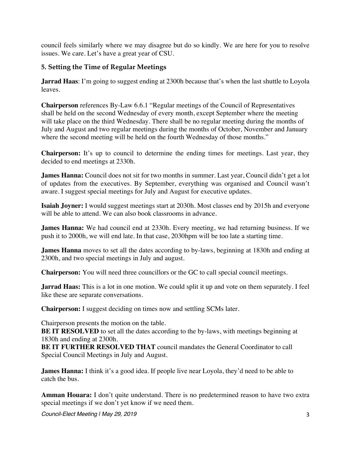council feels similarly where we may disagree but do so kindly. We are here for you to resolve issues. We care. Let's have a great year of CSU.

## **5. Setting the Time of Regular Meetings**

**Jarrad Haas**: I'm going to suggest ending at 2300h because that's when the last shuttle to Loyola leaves.

**Chairperson** references By-Law 6.6.1 "Regular meetings of the Council of Representatives shall be held on the second Wednesday of every month, except September where the meeting will take place on the third Wednesday. There shall be no regular meeting during the months of July and August and two regular meetings during the months of October, November and January where the second meeting will be held on the fourth Wednesday of those months."

**Chairperson:** It's up to council to determine the ending times for meetings. Last year, they decided to end meetings at 2330h.

**James Hanna:** Council does not sit for two months in summer. Last year, Council didn't get a lot of updates from the executives. By September, everything was organised and Council wasn't aware. I suggest special meetings for July and August for executive updates.

**Isaiah Joyner:** I would suggest meetings start at 2030h. Most classes end by 2015h and everyone will be able to attend. We can also book classrooms in advance.

**James Hanna:** We had council end at 2330h. Every meeting, we had returning business. If we push it to 2000h, we will end late. In that case, 2030hpm will be too late a starting time.

**James Hanna** moves to set all the dates according to by-laws, beginning at 1830h and ending at 2300h, and two special meetings in July and august.

**Chairperson:** You will need three councillors or the GC to call special council meetings.

**Jarrad Haas:** This is a lot in one motion. We could split it up and vote on them separately. I feel like these are separate conversations.

**Chairperson:** I suggest deciding on times now and settling SCMs later.

Chairperson presents the motion on the table.

**BE IT RESOLVED** to set all the dates according to the by-laws, with meetings beginning at 1830h and ending at 2300h.

**BE IT FURTHER RESOLVED THAT** council mandates the General Coordinator to call Special Council Meetings in July and August.

**James Hanna:** I think it's a good idea. If people live near Loyola, they'd need to be able to catch the bus.

**Amman Houara:** I don't quite understand. There is no predetermined reason to have two extra special meetings if we don't yet know if we need them.

*Council-Elect Meeting | May 29, 2019* 3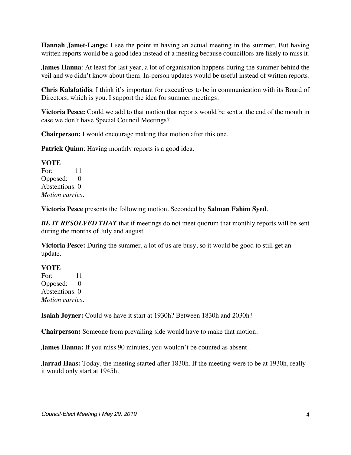**Hannah Jamet-Lange:** I see the point in having an actual meeting in the summer. But having written reports would be a good idea instead of a meeting because councillors are likely to miss it.

**James Hanna**: At least for last year, a lot of organisation happens during the summer behind the veil and we didn't know about them. In-person updates would be useful instead of written reports.

**Chris Kalafatidis**: I think it's important for executives to be in communication with its Board of Directors, which is you. I support the idea for summer meetings.

**Victoria Pesce:** Could we add to that motion that reports would be sent at the end of the month in case we don't have Special Council Meetings?

**Chairperson:** I would encourage making that motion after this one.

**Patrick Quinn**: Having monthly reports is a good idea.

#### **VOTE**

For: 11 Opposed: 0 Abstentions: 0 *Motion carries.*

**Victoria Pesce** presents the following motion. Seconded by **Salman Fahim Syed**.

*BE IT RESOLVED THAT* that if meetings do not meet quorum that monthly reports will be sent during the months of July and august

**Victoria Pesce:** During the summer, a lot of us are busy, so it would be good to still get an update.

#### **VOTE**

For: 11 Opposed: 0 Abstentions: 0 *Motion carries.*

**Isaiah Joyner:** Could we have it start at 1930h? Between 1830h and 2030h?

**Chairperson:** Someone from prevailing side would have to make that motion.

**James Hanna:** If you miss 90 minutes, you wouldn't be counted as absent.

**Jarrad Haas:** Today, the meeting started after 1830h. If the meeting were to be at 1930h, really it would only start at 1945h.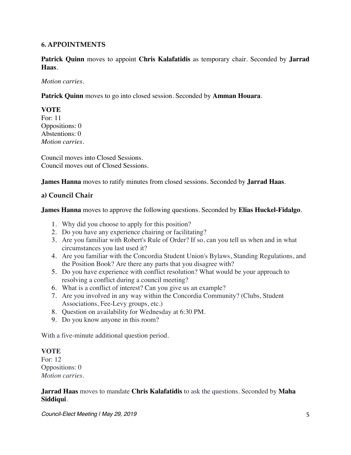#### **6. APPOINTMENTS**

**Patrick Quinn** moves to appoint **Chris Kalafatidis** as temporary chair. Seconded by **Jarrad Haas**.

#### *Motion carries.*

**Patrick Quinn** moves to go into closed session. Seconded by **Amman Houara**.

**VOTE** For: 11 Oppositions: 0 Abstentions: 0

*Motion carries.*

Council moves into Closed Sessions. Council moves out of Closed Sessions.

**James Hanna** moves to ratify minutes from closed sessions. Seconded by **Jarrad Haas**.

#### **a) Council Chair**

**James Hanna** moves to approve the following questions. Seconded by **Elias Huckel-Fidalgo**.

- 1. Why did you choose to apply for this position?
- 2. Do you have any experience chairing or facilitating?
- 3. Are you familiar with Robert's Rule of Order? If so, can you tell us when and in what circumstances you last used it?
- 4. Are you familiar with the Concordia Student Union's Bylaws, Standing Regulations, and the Position Book? Are there any parts that you disagree with?
- 5. Do you have experience with conflict resolution? What would be your approach to resolving a conflict during a council meeting?
- 6. What is a conflict of interest? Can you give us an example?
- 7. Are you involved in any way within the Concordia Community? (Clubs, Student Associations, Fee-Levy groups, etc.)
- 8. Question on availability for Wednesday at 6:30 PM.
- 9. Do you know anyone in this room?

With a five-minute additional question period.

#### **VOTE**

For: 12 Oppositions: 0 *Motion carries.* 

#### **Jarrad Haas** moves to mandate **Chris Kalafatidis** to ask the questions. Seconded by **Maha Siddiqui**.

*Council-Elect Meeting | May 29, 2019* 5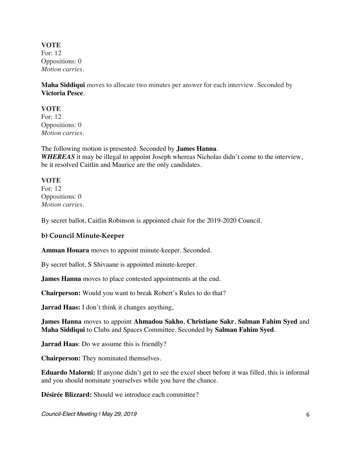**VOTE** For: 12 Oppositions: 0 *Motion carries.* 

**Maha Siddiqui** moves to allocate two minutes per answer for each interview. Seconded by **Victoria Pesce**.

#### **VOTE**

For: 12 Oppositions: 0 *Motion carries.* 

The following motion is presented. Seconded by **James Hanna**. **WHEREAS** it may be illegal to appoint Joseph whereas Nicholas didn't come to the interview, be it resolved Caitlin and Maurice are the only candidates.

**VOTE** For: 12 Oppositions: 0 *Motion carries.* 

By secret ballot, Caitlin Robinson is appointed chair for the 2019-2020 Council.

## **b) Council Minute-Keeper**

**Amman Houara** moves to appoint minute-keeper. Seconded.

By secret ballot, S Shivaane is appointed minute-keeper.

**James Hanna** moves to place contested appointments at the end.

**Chairperson:** Would you want to break Robert's Rules to do that?

**Jarrad Haas:** I don't think it changes anything,

**James Hanna** moves to appoint **Ahmadou Sakho**, **Christiane Sakr**, **Salman Fahim Syed** and **Maha Siddiqui** to Clubs and Spaces Committee. Seconded by **Salman Fahim Syed**.

**Jarrad Haas**: Do we assume this is friendly?

**Chairperson:** They nominated themselves.

**Eduardo Malorni:** If anyone didn't get to see the excel sheet before it was filled. this is informal and you should nominate yourselves while you have the chance.

**Désirée Blizzard:** Should we introduce each committee?

*Council-Elect Meeting | May 29, 2019* 6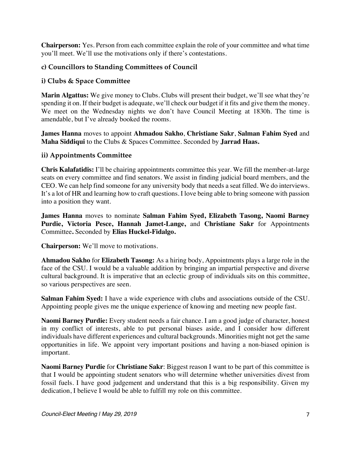**Chairperson:** Yes. Person from each committee explain the role of your committee and what time you'll meet. We'll use the motivations only if there's contestations.

## **c) Councillors to Standing Committees of Council**

## **i) Clubs & Space Committee**

**Marin Algattus:** We give money to Clubs. Clubs will present their budget, we'll see what they're spending it on. If their budget is adequate, we'll check our budget if it fits and give them the money. We meet on the Wednesday nights we don't have Council Meeting at 1830h. The time is amendable, but I've already booked the rooms.

**James Hanna** moves to appoint **Ahmadou Sakho**, **Christiane Sakr**, **Salman Fahim Syed** and **Maha Siddiqui** to the Clubs & Spaces Committee. Seconded by **Jarrad Haas.**

## **ii) Appointments Committee**

**Chris Kalafatidis:** I'll be chairing appointments committee this year. We fill the member-at-large seats on every committee and find senators. We assist in finding judicial board members, and the CEO. We can help find someone for any university body that needs a seat filled. We do interviews. It's a lot of HR and learning how to craft questions. I love being able to bring someone with passion into a position they want.

**James Hanna** moves to nominate **Salman Fahim Syed, Elizabeth Tasong, Naomi Barney Purdie, Victoria Pesce, Hannah Jamet-Lange,** and **Christiane Sakr** for Appointments Committee**.** Seconded by **Elias Huckel-Fidalgo.**

**Chairperson:** We'll move to motivations.

**Ahmadou Sakho** for **Elizabeth Tasong:** As a hiring body, Appointments plays a large role in the face of the CSU. I would be a valuable addition by bringing an impartial perspective and diverse cultural background. It is imperative that an eclectic group of individuals sits on this committee, so various perspectives are seen.

**Salman Fahim Syed:** I have a wide experience with clubs and associations outside of the CSU. Appointing people gives me the unique experience of knowing and meeting new people fast.

**Naomi Barney Purdie:** Every student needs a fair chance. I am a good judge of character, honest in my conflict of interests, able to put personal biases aside, and I consider how different individuals have different experiences and cultural backgrounds. Minorities might not get the same opportunities in life. We appoint very important positions and having a non-biased opinion is important.

**Naomi Barney Purdie** for **Christiane Sakr**: Biggest reason I want to be part of this committee is that I would be appointing student senators who will determine whether universities divest from fossil fuels. I have good judgement and understand that this is a big responsibility. Given my dedication, I believe I would be able to fulfill my role on this committee.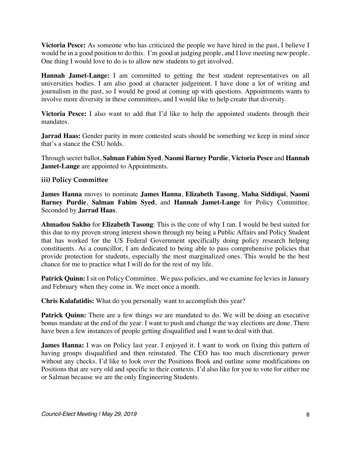**Victoria Pesce:** As someone who has criticized the people we have hired in the past, I believe I would be in a good position to do this. I'm good at judging people, and I love meeting new people. One thing I would love to do is to allow new students to get involved.

**Hannah Jamet-Lange:** I am committed to getting the best student representatives on all universities bodies. I am also good at character judgement. I have done a lot of writing and journalism in the past, so I would be good at coming up with questions. Appointments wants to involve more diversity in these committees, and I would like to help create that diversity.

**Victoria Pesce:** I also want to add that I'd like to help the appointed students through their mandates.

**Jarrad Haas:** Gender parity in more contested seats should be something we keep in mind since that's a stance the CSU holds.

Through secret ballot, **Salman Fahim Syed**, **Naomi Barney Purdie**, **Victoria Pesce** and **Hannah Jamet-Lange** are appointed to Appointments.

#### **iii) Policy Committee**

**James Hanna** moves to nominate **James Hanna**, **Elizabeth Tasong**, **Maha Siddiqui**, **Naomi Barney Purdie**, **Salman Fahim Syed**, and **Hannah Jamet-Lange** for Policy Committee. Seconded by **Jarrad Haas**.

**Ahmadou Sakho** for **Elizabeth Tasong**: This is the core of why I ran. I would be best suited for this due to my proven strong interest shown through my being a Public Affairs and Policy Student that has worked for the US Federal Government specifically doing policy research helping constituents. As a councillor, I am dedicated to being able to pass comprehensive policies that provide protection for students, especially the most marginalized ones. This would be the best chance for me to practice what I will do for the rest of my life.

**Patrick Quinn:** I sit on Policy Committee. We pass policies, and we examine fee levies in January and February when they come in. We meet once a month.

**Chris Kalafatidis:** What do you personally want to accomplish this year?

**Patrick Quinn:** There are a few things we are mandated to do. We will be doing an executive bonus mandate at the end of the year. I want to push and change the way elections are done. There have been a few instances of people getting disqualified and I want to deal with that.

**James Hanna:** I was on Policy last year. I enjoyed it. I want to work on fixing this pattern of having groups disqualified and then reinstated. The CEO has too much discretionary power without any checks. I'd like to look over the Positions Book and outline some modifications on Positions that are very old and specific to their contexts. I'd also like for you to vote for either me or Salman because we are the only Engineering Students.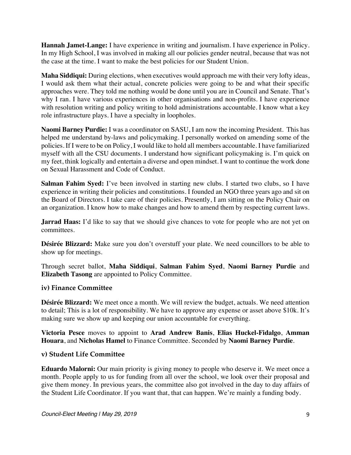**Hannah Jamet-Lange:** I have experience in writing and journalism. I have experience in Policy. In my High School, I was involved in making all our policies gender neutral, because that was not the case at the time. I want to make the best policies for our Student Union.

**Maha Siddiqui:** During elections, when executives would approach me with their very lofty ideas, I would ask them what their actual, concrete policies were going to be and what their specific approaches were. They told me nothing would be done until you are in Council and Senate. That's why I ran. I have various experiences in other organisations and non-profits. I have experience with resolution writing and policy writing to hold administrations accountable. I know what a key role infrastructure plays. I have a specialty in loopholes.

**Naomi Barney Purdie:** I was a coordinator on SASU, I am now the incoming President. This has helped me understand by-laws and policymaking. I personally worked on amending some of the policies. If I were to be on Policy, I would like to hold all members accountable. I have familiarized myself with all the CSU documents. I understand how significant policymaking is. I'm quick on my feet, think logically and entertain a diverse and open mindset. I want to continue the work done on Sexual Harassment and Code of Conduct.

**Salman Fahim Syed:** I've been involved in starting new clubs. I started two clubs, so I have experience in writing their policies and constitutions. I founded an NGO three years ago and sit on the Board of Directors. I take care of their policies. Presently, I am sitting on the Policy Chair on an organization. I know how to make changes and how to amend them by respecting current laws.

**Jarrad Haas:** I'd like to say that we should give chances to vote for people who are not yet on committees.

**Désirée Blizzard:** Make sure you don't overstuff your plate. We need councillors to be able to show up for meetings.

Through secret ballot, **Maha Siddiqui**, **Salman Fahim Syed**, **Naomi Barney Purdie** and **Elizabeth Tasong** are appointed to Policy Committee.

## **iv) Finance Committee**

**Désirée Blizzard:** We meet once a month. We will review the budget, actuals. We need attention to detail; This is a lot of responsibility. We have to approve any expense or asset above \$10k. It's making sure we show up and keeping our union accountable for everything.

**Victoria Pesce** moves to appoint to **Arad Andrew Banis**, **Elias Huckel-Fidalgo**, **Amman Houara**, and **Nicholas Hamel** to Finance Committee. Seconded by **Naomi Barney Purdie**.

## **v) Student Life Committee**

**Eduardo Malorni:** Our main priority is giving money to people who deserve it. We meet once a month. People apply to us for funding from all over the school, we look over their proposal and give them money. In previous years, the committee also got involved in the day to day affairs of the Student Life Coordinator. If you want that, that can happen. We're mainly a funding body.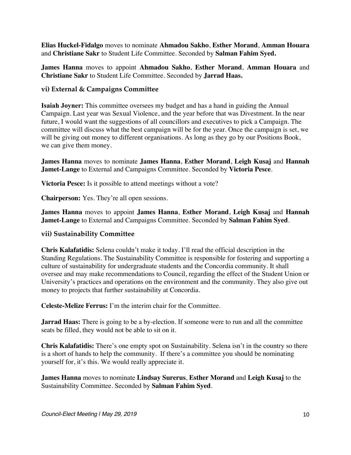**Elias Huckel-Fidalgo** moves to nominate **Ahmadou Sakho**, **Esther Morand**, **Amman Houara** and **Christiane Sakr** to Student Life Committee. Seconded by **Salman Fahim Syed.**

**James Hanna** moves to appoint **Ahmadou Sakho**, **Esther Morand**, **Amman Houara** and **Christiane Sakr** to Student Life Committee. Seconded by **Jarrad Haas.**

#### **vi) External & Campaigns Committee**

**Isaiah Joyner:** This committee oversees my budget and has a hand in guiding the Annual Campaign. Last year was Sexual Violence, and the year before that was Divestment. In the near future, I would want the suggestions of all councillors and executives to pick a Campaign. The committee will discuss what the best campaign will be for the year. Once the campaign is set, we will be giving out money to different organisations. As long as they go by our Positions Book, we can give them money.

**James Hanna** moves to nominate **James Hanna**, **Esther Morand**, **Leigh Kusaj** and **Hannah Jamet-Lange** to External and Campaigns Committee. Seconded by **Victoria Pesce**.

**Victoria Pesce:** Is it possible to attend meetings without a vote?

**Chairperson:** Yes. They're all open sessions.

**James Hanna** moves to appoint **James Hanna**, **Esther Morand**, **Leigh Kusaj** and **Hannah Jamet-Lange** to External and Campaigns Committee. Seconded by **Salman Fahim Syed**.

#### **vii) Sustainability Committee**

**Chris Kalafatidis:** Selena couldn't make it today. I'll read the official description in the Standing Regulations. The Sustainability Committee is responsible for fostering and supporting a culture of sustainability for undergraduate students and the Concordia community. It shall oversee and may make recommendations to Council, regarding the effect of the Student Union or University's practices and operations on the environment and the community. They also give out money to projects that further sustainability at Concordia.

**Celeste-Melize Ferrus:** I'm the interim chair for the Committee.

**Jarrad Haas:** There is going to be a by-election. If someone were to run and all the committee seats be filled, they would not be able to sit on it.

**Chris Kalafatidis:** There's one empty spot on Sustainability. Selena isn't in the country so there is a short of hands to help the community. If there's a committee you should be nominating yourself for, it's this. We would really appreciate it.

**James Hanna** moves to nominate **Lindsay Surerus**, **Esther Morand** and **Leigh Kusaj** to the Sustainability Committee. Seconded by **Salman Fahim Syed**.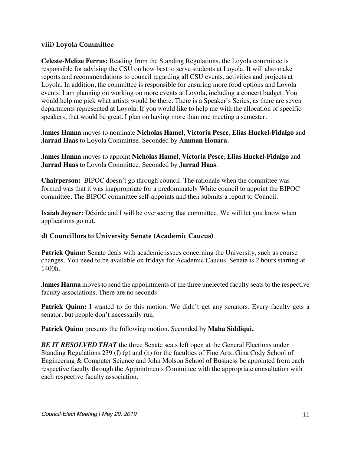#### **viii) Loyola Committee**

**Celeste-Melize Ferrus:** Reading from the Standing Regulations, the Loyola committee is responsible for advising the CSU on how best to serve students at Loyola. It will also make reports and recommendations to council regarding all CSU events, activities and projects at Loyola. In addition, the committee is responsible for ensuring more food options and Loyola events. I am planning on working on more events at Loyola, including a concert budget. You would help me pick what artists would be there. There is a Speaker's Series, as there are seven departments represented at Loyola. If you would like to help me with the allocation of specific speakers, that would be great. I plan on having more than one meeting a semester.

**James Hanna** moves to nominate **Nicholas Hamel**, **Victoria Pesce**, **Elias Huckel-Fidalgo** and **Jarrad Haas** to Loyola Committee. Seconded by **Amman Houara**.

**James Hanna** moves to appoint **Nicholas Hamel**, **Victoria Pesce**, **Elias Huckel-Fidalgo** and **Jarrad Haas** to Loyola Committee. Seconded by **Jarrad Haas**.

**Chairperson:** BIPOC doesn't go through council. The rationale when the committee was formed was that it was inappropriate for a predominately White council to appoint the BIPOC committee. The BIPOC committee self-appoints and then submits a report to Council.

**Isaiah Joyner:** Désirée and I will be overseeing that committee. We will let you know when applications go out.

## **d) Councillors to University Senate (Academic Caucus)**

**Patrick Quinn:** Senate deals with academic issues concerning the University, such as course changes. You need to be available on fridays for Academic Caucus. Senate is 2 hours starting at 1400h.

**James Hanna** moves to send the appointments of the three unelected faculty seats to the respective faculty associations. There are no seconds

**Patrick Quinn:** I wanted to do this motion. We didn't get any senators. Every faculty gets a senator, but people don't necessarily run.

**Patrick Quinn** presents the following motion. Seconded by **Maha Siddiqui.**

**BE IT RESOLVED THAT** the three Senate seats left open at the General Elections under Standing Regulations 239 (f) (g) and (h) for the faculties of Fine Arts, Gina Cody School of Engineering & Computer Science and John Molson School of Business be appointed from each respective faculty through the Appointments Committee with the appropriate consultation with each respective faculty association.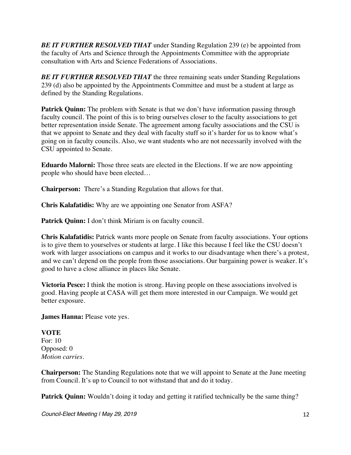*BE IT FURTHER RESOLVED THAT* under Standing Regulation 239 (e) be appointed from the faculty of Arts and Science through the Appointments Committee with the appropriate consultation with Arts and Science Federations of Associations.

**BE IT FURTHER RESOLVED THAT** the three remaining seats under Standing Regulations 239 (d) also be appointed by the Appointments Committee and must be a student at large as defined by the Standing Regulations.

Patrick Quinn: The problem with Senate is that we don't have information passing through faculty council. The point of this is to bring ourselves closer to the faculty associations to get better representation inside Senate. The agreement among faculty associations and the CSU is that we appoint to Senate and they deal with faculty stuff so it's harder for us to know what's going on in faculty councils. Also, we want students who are not necessarily involved with the CSU appointed to Senate.

**Eduardo Malorni:** Those three seats are elected in the Elections. If we are now appointing people who should have been elected…

**Chairperson:** There's a Standing Regulation that allows for that.

**Chris Kalafatidis:** Why are we appointing one Senator from ASFA?

Patrick Quinn: I don't think Miriam is on faculty council.

**Chris Kalafatidis:** Patrick wants more people on Senate from faculty associations. Your options is to give them to yourselves or students at large. I like this because I feel like the CSU doesn't work with larger associations on campus and it works to our disadvantage when there's a protest, and we can't depend on the people from those associations. Our bargaining power is weaker. It's good to have a close alliance in places like Senate.

**Victoria Pesce:** I think the motion is strong. Having people on these associations involved is good. Having people at CASA will get them more interested in our Campaign. We would get better exposure.

**James Hanna:** Please vote yes.

## **VOTE**

For: 10 Opposed: 0 *Motion carries.*

**Chairperson:** The Standing Regulations note that we will appoint to Senate at the June meeting from Council. It's up to Council to not withstand that and do it today.

**Patrick Quinn:** Wouldn't doing it today and getting it ratified technically be the same thing?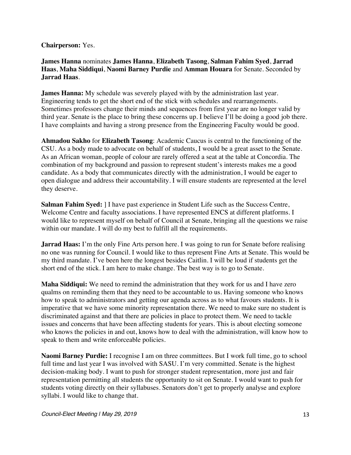#### **Chairperson:** Yes.

## **James Hanna** nominates **James Hanna**, **Elizabeth Tasong**, **Salman Fahim Syed**, **Jarrad Haas**, **Maha Siddiqui**, **Naomi Barney Purdie** and **Amman Houara** for Senate. Seconded by **Jarrad Haas**.

**James Hanna:** My schedule was severely played with by the administration last year. Engineering tends to get the short end of the stick with schedules and rearrangements. Sometimes professors change their minds and sequences from first year are no longer valid by third year. Senate is the place to bring these concerns up. I believe I'll be doing a good job there. I have complaints and having a strong presence from the Engineering Faculty would be good.

**Ahmadou Sakho** for **Elizabeth Tasong**: Academic Caucus is central to the functioning of the CSU. As a body made to advocate on behalf of students, I would be a great asset to the Senate. As an African woman, people of colour are rarely offered a seat at the table at Concordia. The combination of my background and passion to represent student's interests makes me a good candidate. As a body that communicates directly with the administration, I would be eager to open dialogue and address their accountability. I will ensure students are represented at the level they deserve.

**Salman Fahim Syed:** ] I have past experience in Student Life such as the Success Centre, Welcome Centre and faculty associations. I have represented ENCS at different platforms. I would like to represent myself on behalf of Council at Senate, bringing all the questions we raise within our mandate. I will do my best to fulfill all the requirements.

**Jarrad Haas:** I'm the only Fine Arts person here. I was going to run for Senate before realising no one was running for Council. I would like to thus represent Fine Arts at Senate. This would be my third mandate. I've been here the longest besides Caitlin. I will be loud if students get the short end of the stick. I am here to make change. The best way is to go to Senate.

**Maha Siddiqui:** We need to remind the administration that they work for us and I have zero qualms on reminding them that they need to be accountable to us. Having someone who knows how to speak to administrators and getting our agenda across as to what favours students. It is imperative that we have some minority representation there. We need to make sure no student is discriminated against and that there are policies in place to protect them. We need to tackle issues and concerns that have been affecting students for years. This is about electing someone who knows the policies in and out, knows how to deal with the administration, will know how to speak to them and write enforceable policies.

**Naomi Barney Purdie:** I recognise I am on three committees. But I work full time, go to school full time and last year I was involved with SASU. I'm very committed. Senate is the highest decision-making body. I want to push for stronger student representation, more just and fair representation permitting all students the opportunity to sit on Senate. I would want to push for students voting directly on their syllabuses. Senators don't get to properly analyse and explore syllabi. I would like to change that.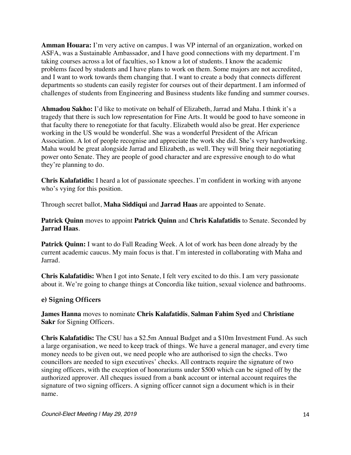**Amman Houara:** I'm very active on campus. I was VP internal of an organization, worked on ASFA, was a Sustainable Ambassador, and I have good connections with my department. I'm taking courses across a lot of faculties, so I know a lot of students. I know the academic problems faced by students and I have plans to work on them. Some majors are not accredited, and I want to work towards them changing that. I want to create a body that connects different departments so students can easily register for courses out of their department. I am informed of challenges of students from Engineering and Business students like funding and summer courses.

**Ahmadou Sakho:** I'd like to motivate on behalf of Elizabeth, Jarrad and Maha. I think it's a tragedy that there is such low representation for Fine Arts. It would be good to have someone in that faculty there to renegotiate for that faculty. Elizabeth would also be great. Her experience working in the US would be wonderful. She was a wonderful President of the African Association. A lot of people recognise and appreciate the work she did. She's very hardworking. Maha would be great alongside Jarrad and Elizabeth, as well. They will bring their negotiating power onto Senate. They are people of good character and are expressive enough to do what they're planning to do.

**Chris Kalafatidis:** I heard a lot of passionate speeches. I'm confident in working with anyone who's vying for this position.

Through secret ballot, **Maha Siddiqui** and **Jarrad Haas** are appointed to Senate.

**Patrick Quinn** moves to appoint **Patrick Quinn** and **Chris Kalafatidis** to Senate. Seconded by **Jarrad Haas**.

**Patrick Quinn:** I want to do Fall Reading Week. A lot of work has been done already by the current academic caucus. My main focus is that. I'm interested in collaborating with Maha and Jarrad.

**Chris Kalafatidis:** When I got into Senate, I felt very excited to do this. I am very passionate about it. We're going to change things at Concordia like tuition, sexual violence and bathrooms.

## **e) Signing Officers**

**James Hanna** moves to nominate **Chris Kalafatidis**, **Salman Fahim Syed** and **Christiane Sakr** for Signing Officers.

**Chris Kalafatidis:** The CSU has a \$2.5m Annual Budget and a \$10m Investment Fund. As such a large organisation, we need to keep track of things. We have a general manager, and every time money needs to be given out, we need people who are authorised to sign the checks. Two councillors are needed to sign executives' checks. All contracts require the signature of two singing officers, with the exception of honorariums under \$500 which can be signed off by the authorized approver. All cheques issued from a bank account or internal account requires the signature of two signing officers. A signing officer cannot sign a document which is in their name.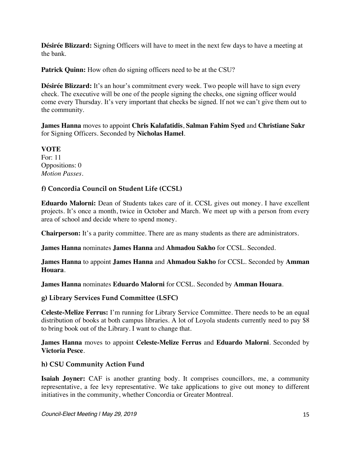**Désirée Blizzard:** Signing Officers will have to meet in the next few days to have a meeting at the bank.

**Patrick Quinn:** How often do signing officers need to be at the CSU?

**Désirée Blizzard:** It's an hour's commitment every week. Two people will have to sign every check. The executive will be one of the people signing the checks, one signing officer would come every Thursday. It's very important that checks be signed. If not we can't give them out to the community.

**James Hanna** moves to appoint **Chris Kalafatidis**, **Salman Fahim Syed** and **Christiane Sakr** for Signing Officers. Seconded by **Nicholas Hamel**.

**VOTE** For: 11 Oppositions: 0 *Motion Passes.*

## **f) Concordia Council on Student Life (CCSL)**

**Eduardo Malorni:** Dean of Students takes care of it. CCSL gives out money. I have excellent projects. It's once a month, twice in October and March. We meet up with a person from every area of school and decide where to spend money.

**Chairperson:** It's a parity committee. There are as many students as there are administrators.

**James Hanna** nominates **James Hanna** and **Ahmadou Sakho** for CCSL. Seconded.

**James Hanna** to appoint **James Hanna** and **Ahmadou Sakho** for CCSL. Seconded by **Amman Houara**.

**James Hanna** nominates **Eduardo Malorni** for CCSL. Seconded by **Amman Houara**.

## **g) Library Services Fund Committee (LSFC)**

**Celeste-Melize Ferrus:** I'm running for Library Service Committee. There needs to be an equal distribution of books at both campus libraries. A lot of Loyola students currently need to pay \$8 to bring book out of the Library. I want to change that.

**James Hanna** moves to appoint **Celeste-Melize Ferrus** and **Eduardo Malorni**. Seconded by **Victoria Pesce**.

## **h) CSU Community Action Fund**

**Isaiah Joyner:** CAF is another granting body. It comprises councillors, me, a community representative, a fee levy representative. We take applications to give out money to different initiatives in the community, whether Concordia or Greater Montreal.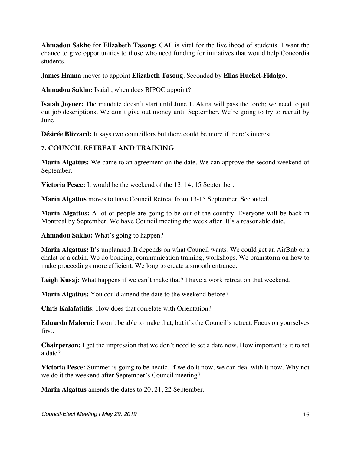**Ahmadou Sakho** for **Elizabeth Tasong:** CAF is vital for the livelihood of students. I want the chance to give opportunities to those who need funding for initiatives that would help Concordia students.

**James Hanna** moves to appoint **Elizabeth Tasong**. Seconded by **Elias Huckel-Fidalgo**.

**Ahmadou Sakho:** Isaiah, when does BIPOC appoint?

**Isaiah Joyner:** The mandate doesn't start until June 1. Akira will pass the torch; we need to put out job descriptions. We don't give out money until September. We're going to try to recruit by June.

**Désirée Blizzard:** It says two councillors but there could be more if there's interest.

## **7. COUNCIL RETREAT AND TRAINING**

**Marin Algattus:** We came to an agreement on the date. We can approve the second weekend of September.

**Victoria Pesce:** It would be the weekend of the 13, 14, 15 September.

**Marin Algattus** moves to have Council Retreat from 13-15 September. Seconded.

**Marin Algattus:** A lot of people are going to be out of the country. Everyone will be back in Montreal by September. We have Council meeting the week after. It's a reasonable date.

**Ahmadou Sakho:** What's going to happen?

**Marin Algattus:** It's unplanned. It depends on what Council wants. We could get an AirBnb or a chalet or a cabin. We do bonding, communication training, workshops. We brainstorm on how to make proceedings more efficient. We long to create a smooth entrance.

**Leigh Kusaj:** What happens if we can't make that? I have a work retreat on that weekend.

**Marin Algattus:** You could amend the date to the weekend before?

**Chris Kalafatidis:** How does that correlate with Orientation?

**Eduardo Malorni:** I won't be able to make that, but it's the Council's retreat. Focus on yourselves first.

**Chairperson:** I get the impression that we don't need to set a date now. How important is it to set a date?

**Victoria Pesce:** Summer is going to be hectic. If we do it now, we can deal with it now. Why not we do it the weekend after September's Council meeting?

**Marin Algattus** amends the dates to 20, 21, 22 September.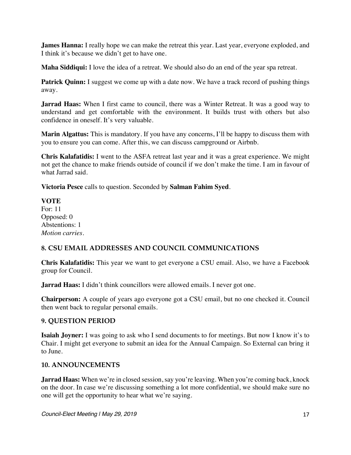**James Hanna:** I really hope we can make the retreat this year. Last year, everyone exploded, and I think it's because we didn't get to have one.

**Maha Siddiqui:** I love the idea of a retreat. We should also do an end of the year spa retreat.

**Patrick Quinn:** I suggest we come up with a date now. We have a track record of pushing things away.

**Jarrad Haas:** When I first came to council, there was a Winter Retreat. It was a good way to understand and get comfortable with the environment. It builds trust with others but also confidence in oneself. It's very valuable.

**Marin Algattus:** This is mandatory. If you have any concerns, I'll be happy to discuss them with you to ensure you can come. After this, we can discuss campground or Airbnb.

**Chris Kalafatidis:** I went to the ASFA retreat last year and it was a great experience. We might not get the chance to make friends outside of council if we don't make the time. I am in favour of what Jarrad said.

**Victoria Pesce** calls to question. Seconded by **Salman Fahim Syed**.

**VOTE** For: 11 Opposed: 0 Abstentions: 1 *Motion carries.*

## **8. CSU EMAIL ADDRESSES AND COUNCIL COMMUNICATIONS**

**Chris Kalafatidis:** This year we want to get everyone a CSU email. Also, we have a Facebook group for Council.

**Jarrad Haas:** I didn't think councillors were allowed emails. I never got one.

**Chairperson:** A couple of years ago everyone got a CSU email, but no one checked it. Council then went back to regular personal emails.

## **9. QUESTION PERIOD**

**Isaiah Joyner:** I was going to ask who I send documents to for meetings. But now I know it's to Chair. I might get everyone to submit an idea for the Annual Campaign. So External can bring it to June.

#### **10. ANNOUNCEMENTS**

**Jarrad Haas:** When we're in closed session, say you're leaving. When you're coming back, knock on the door. In case we're discussing something a lot more confidential, we should make sure no one will get the opportunity to hear what we're saying.